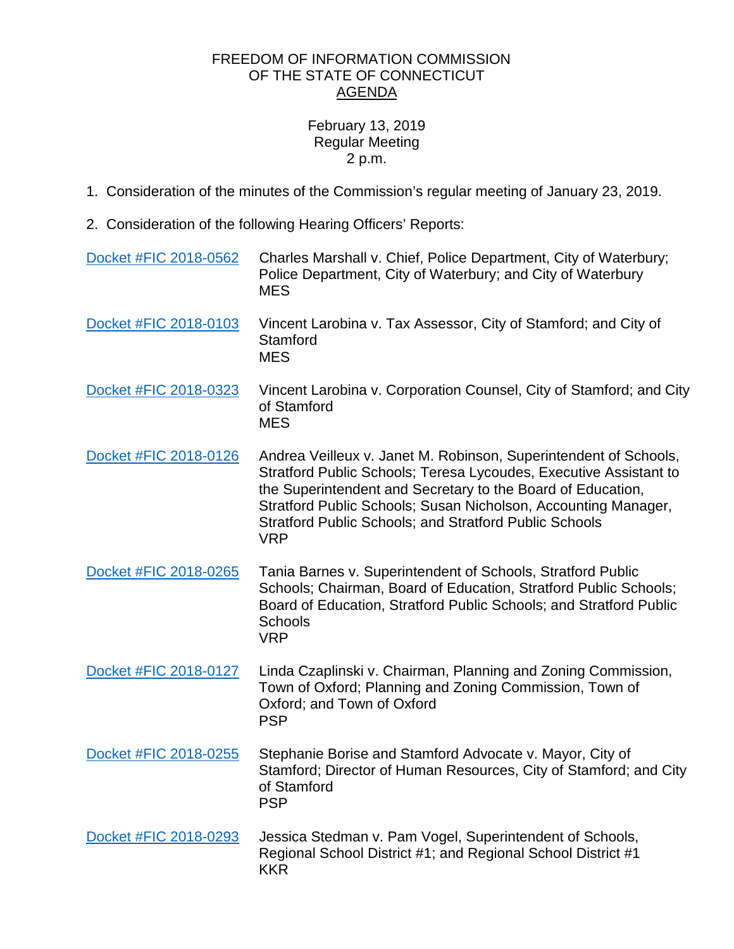## FREEDOM OF INFORMATION COMMISSION OF THE STATE OF CONNECTICUT AGENDA

## February 13, 2019 Regular Meeting 2 p.m.

- 1. Consideration of the minutes of the Commission's regular meeting of January 23, 2019.
- 2. Consideration of the following Hearing Officers' Reports:

| Docket #FIC 2018-0562 | Charles Marshall v. Chief, Police Department, City of Waterbury;<br>Police Department, City of Waterbury; and City of Waterbury<br><b>MES</b>                                                                                                                                                                                                         |
|-----------------------|-------------------------------------------------------------------------------------------------------------------------------------------------------------------------------------------------------------------------------------------------------------------------------------------------------------------------------------------------------|
| Docket #FIC 2018-0103 | Vincent Larobina v. Tax Assessor, City of Stamford; and City of<br>Stamford<br><b>MES</b>                                                                                                                                                                                                                                                             |
| Docket #FIC 2018-0323 | Vincent Larobina v. Corporation Counsel, City of Stamford; and City<br>of Stamford<br><b>MES</b>                                                                                                                                                                                                                                                      |
| Docket #FIC 2018-0126 | Andrea Veilleux v. Janet M. Robinson, Superintendent of Schools,<br>Stratford Public Schools; Teresa Lycoudes, Executive Assistant to<br>the Superintendent and Secretary to the Board of Education,<br>Stratford Public Schools; Susan Nicholson, Accounting Manager,<br><b>Stratford Public Schools; and Stratford Public Schools</b><br><b>VRP</b> |
| Docket #FIC 2018-0265 | Tania Barnes v. Superintendent of Schools, Stratford Public<br>Schools; Chairman, Board of Education, Stratford Public Schools;<br>Board of Education, Stratford Public Schools; and Stratford Public<br><b>Schools</b><br><b>VRP</b>                                                                                                                 |
| Docket #FIC 2018-0127 | Linda Czaplinski v. Chairman, Planning and Zoning Commission,<br>Town of Oxford; Planning and Zoning Commission, Town of<br>Oxford; and Town of Oxford<br><b>PSP</b>                                                                                                                                                                                  |
| Docket #FIC 2018-0255 | Stephanie Borise and Stamford Advocate v. Mayor, City of<br>Stamford; Director of Human Resources, City of Stamford; and City<br>of Stamford<br><b>PSP</b>                                                                                                                                                                                            |
| Docket #FIC 2018-0293 | Jessica Stedman v. Pam Vogel, Superintendent of Schools,<br>Regional School District #1; and Regional School District #1<br><b>KKR</b>                                                                                                                                                                                                                |